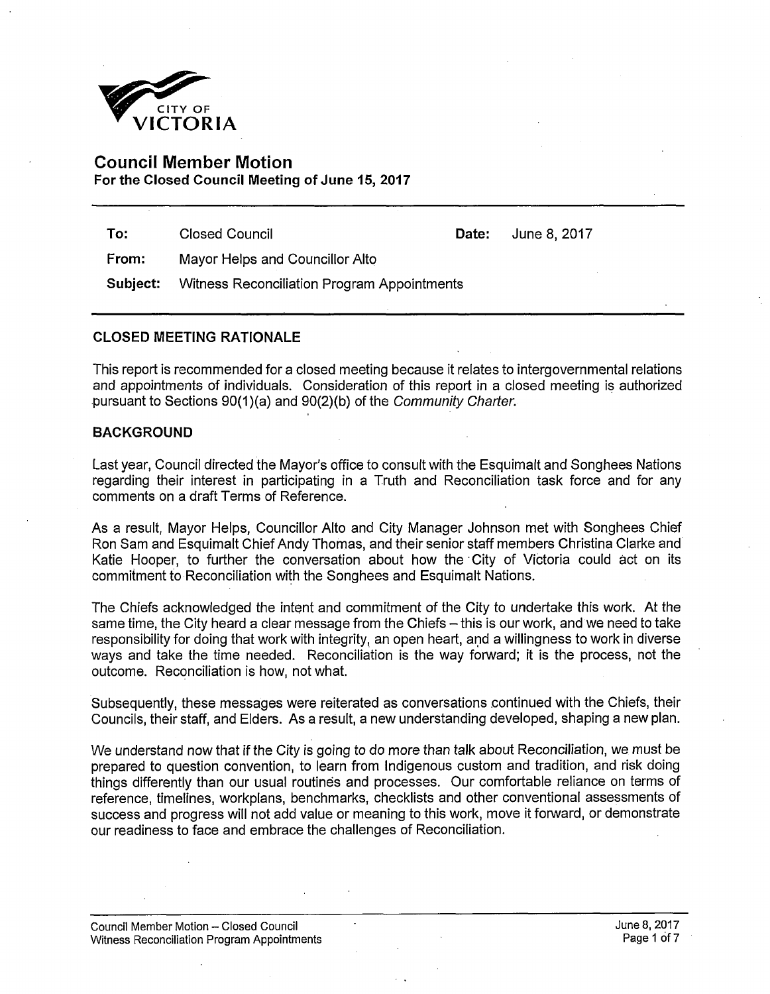

# **Council Member Motion For the Closed Council Meeting of June 15, 2017**

**To:** Closed Council **Date:** June 8,2017

**From:** Mayor Helps and Councillor Alto

**Subject:** Witness Reconciliation Program Appointments

## **CLOSED MEETING RATIONALE**

This report is recommended for a closed meeting because it relates to intergovernmental relations and appointments of individuals. Consideration of this report in a closed meeting is authorized pursuant to Sections 90(1 )(a) and 90(2)(b) of the *Community Charter.* 

## **BACKGROUND**

Last year, Council directed the Mayor's office to consult with the Esquimalt and Songhees Nations regarding their interest in participating in a Truth and Reconciliation task force and for any comments on a draft Terms of Reference.

As a result, Mayor Helps, Councillor Alto and City Manager Johnson met with Songhees Chief Ron Sam and Esquimalt Chief Andy Thomas, and their senior staff members Christina Clarke and Katie Hooper, to further the conversation about how the City of Victoria could act on its commitment to Reconciliation with the Songhees and Esquimalt Nations.

The Chiefs acknowledged the intent and commitment of the City to undertake this work. At the same time, the City heard a clear message from the Chiefs - this is our work, and we need to take responsibility for doing that work with integrity, an open heart, and a willingness to work in diverse ways and take the time needed. Reconciliation is the way forward; it is the process, not the outcome. Reconciliation is how, not what.

Subsequently, these messages were reiterated as conversations continued with the Chiefs, their Councils, their staff, and Elders. As a result, a new understanding developed, shaping a new plan.

We understand now that if the City is going to do more than talk about Reconciliation, we must be prepared to question convention, to learn from Indigenous custom and tradition, and risk doing things differently than our usual routines and processes. Our comfortable reliance on terms of reference, timelines, workplans, benchmarks, checklists and other conventional assessments of success and progress will not add value or meaning to this work, move it forward, or demonstrate our readiness to face and embrace the challenges of Reconciliation.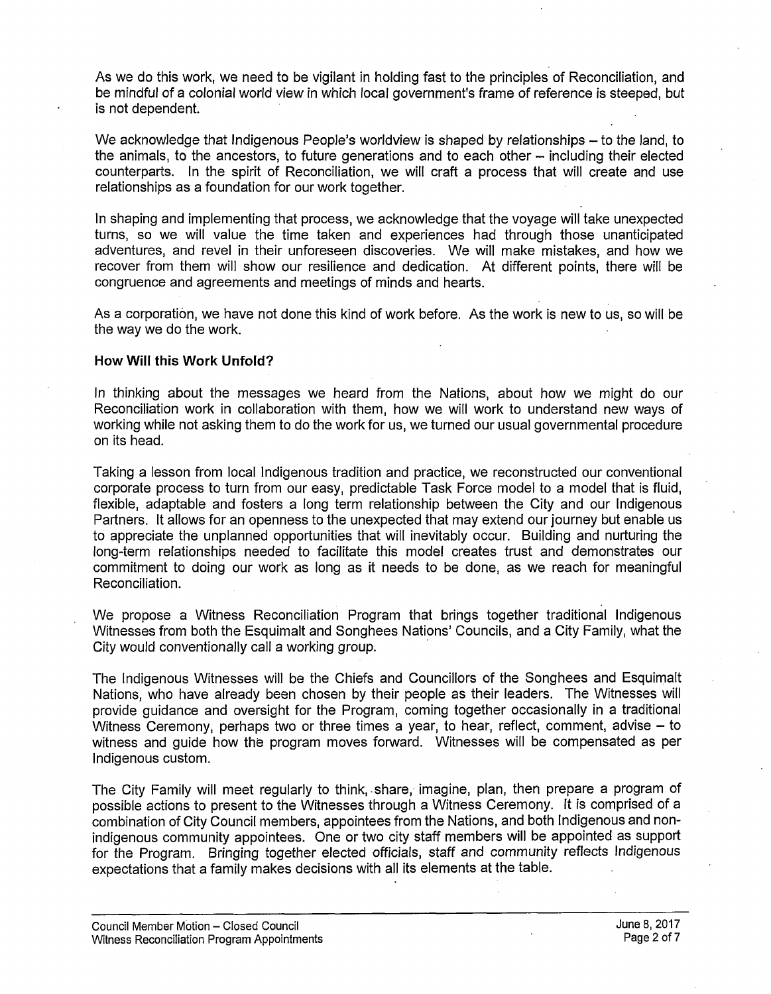As we do this work, we need to be vigilant in holding fast to the principles of Reconciliation, and be mindful of a colonial world view in which local government's frame of reference is steeped, but is not dependent.

We acknowledge that Indigenous People's worldview is shaped by relationships - to the land, to the animals, to the ancestors, to future generations and to each other – including their elected counterparts. In the spirit of Reconciliation, we will craft a process that will create and use relationships as a foundation for our work together.

In shaping and implementing that process, we acknowledge that the voyage will take unexpected turns, so we will value the time taken and experiences had through those unanticipated adventures, and revel in their unforeseen discoveries. We will make mistakes, and how we recover from them will show our resilience and dedication. At different points, there will be congruence and agreements and meetings of minds and hearts.

As a corporation, we have not done this kind of work before. As the work is new to us, so will be the way we do the work.

## **How Will this Work Unfold?**

In thinking about the messages we heard from the Nations, about how we might do our Reconciliation work in collaboration with them, how we will work to understand new ways of working while not asking them to do the work for us, we turned our usual governmental procedure on its head.

Taking a lesson from local Indigenous tradition and practice, we reconstructed our conventional corporate process to turn from our easy, predictable Task Force model to a model that is fluid, flexible, adaptable and fosters a long term relationship between the City and our Indigenous Partners. It allows for an openness to the unexpected that may extend our journey but enable us to appreciate the unplanned opportunities that will inevitably occur. Building and nurturing the long-term relationships needed to facilitate this model creates trust and demonstrates our commitment to doing our work as long as it needs to be done, as we reach for meaningful Reconciliation.

We propose a Witness Reconciliation Program that brings together traditional Indigenous Witnesses from both the Esquimalt and Songhees Nations' Councils, and a City Family, what the City would conventionally call a working group.

The Indigenous Witnesses will be the Chiefs and Councillors of the Songhees and Esquimalt Nations, who have already been chosen by their people as their leaders. The Witnesses will provide guidance and oversight for the Program, coming together occasionally in a traditional Witness Ceremony, perhaps two or three times a year, to hear, reflect, comment, advise – to witness and guide how the program moves forward. Witnesses will be compensated as per Indigenous custom.

The City Family will meet regularly to think, share, imagine, plan, then prepare a program of possible actions to present to the Witnesses through a Witness Ceremony. It is comprised of a combination of City Council members, appointees from the Nations, and both Indigenous and nonindigenous community appointees. One or two city staff members will be appointed as support for the Program. Bringing together elected officials, staff and community reflects Indigenous expectations that a family makes decisions with all its elements at the table.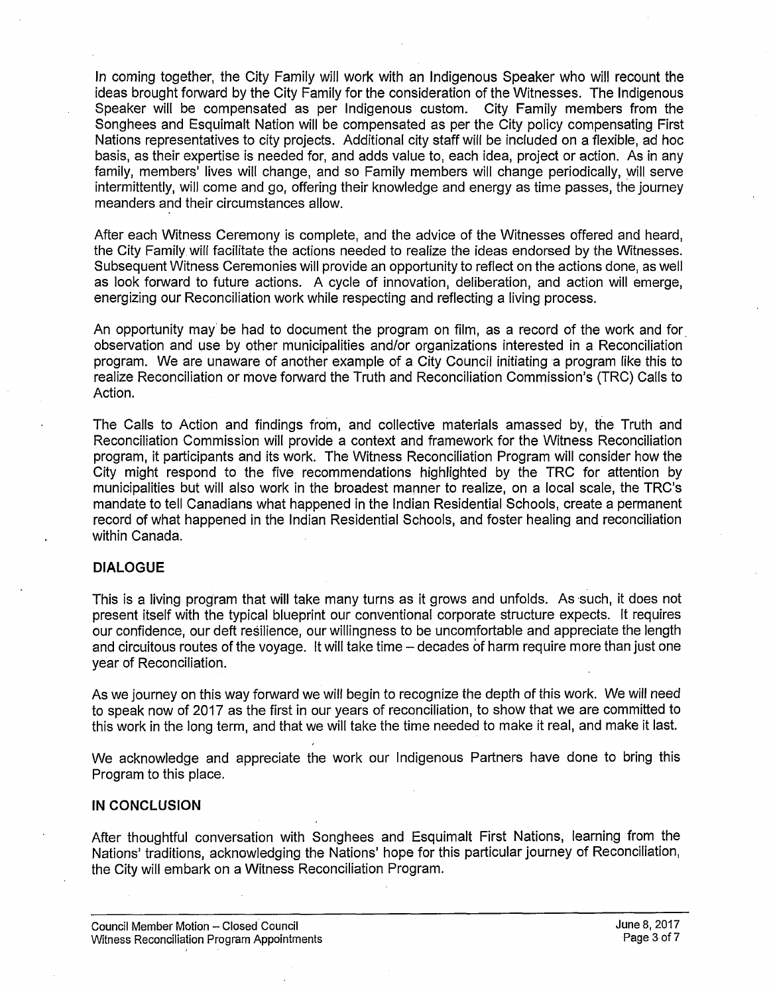In coming together, the City Family will work with an Indigenous Speaker who will recount the ideas brought forward by the City Family for the consideration of the Witnesses. The Indigenous Speaker will be compensated as per Indigenous custom. City Family members from the Songhees and Esquimalt Nation will be compensated as per the City policy compensating First Nations representatives to city projects. Additional city staff will be included on a flexible, ad hoc basis, as their expertise is needed for, and adds value to, each idea, project or action. As in any family, members' lives will change, and so Family members will change periodically, will serve intermittently, will come and go, offering their knowledge and energy as time passes, the journey meanders and their circumstances allow.

After each Witness Ceremony is complete, and the advice of the Witnesses offered and heard, the City Family will facilitate the actions needed to realize the ideas endorsed by the Witnesses. Subsequent Witness Ceremonies will provide an opportunity to reflect on the actions done, as well as look forward to future actions. A cycle of innovation, deliberation, and action will emerge, energizing our Reconciliation work while respecting and reflecting a living process.

An opportunity may be had to document the program on film, as a record of the work and for observation and use by other municipalities and/or organizations interested in a Reconciliation program. We are unaware of another example of a City Council initiating a program like this to realize Reconciliation or move forward the Truth and Reconciliation Commission's (TRC) Calls to Action.

The Calls to Action and findings from, and collective materials amassed by, the Truth and Reconciliation Commission will provide a context and framework for the Witness Reconciliation program, it participants and its work. The Witness Reconciliation Program will consider how the City might respond to the five recommendations highlighted by the TRC for attention by municipalities but will also work in the broadest manner to realize, on a local scale, the TRC's mandate to tell Canadians what happened in the Indian Residential Schools, create a permanent record of what happened in the Indian Residential Schools, and foster healing and reconciliation within Canada.

## **DIALOGUE**

This is a living program that will take many turns as it grows and unfolds. As such, it does not present itself with the typical blueprint our conventional corporate structure expects. It requires our confidence, our deft resilience, our willingness to be uncomfortable and appreciate the length and circuitous routes of the vovage. It will take time – decades of harm require more than just one year of Reconciliation.

As we journey on this way forward we will begin to recognize the depth of this work. We will need to speak now of 2017 as the first in our years of reconciliation, to show that we are committed to this work in the long term, and that we will take the time needed to make it real, and make it last.

We acknowledge and appreciate the work our Indigenous Partners have done to bring this Program to this place.

## **IN CONCLUSION**

After thoughtful conversation with Songhees and Esquimalt First Nations, learning from the Nations' traditions, acknowledging the Nations' hope for this particular journey of Reconciliation, the City will embark on a Witness Reconciliation Program.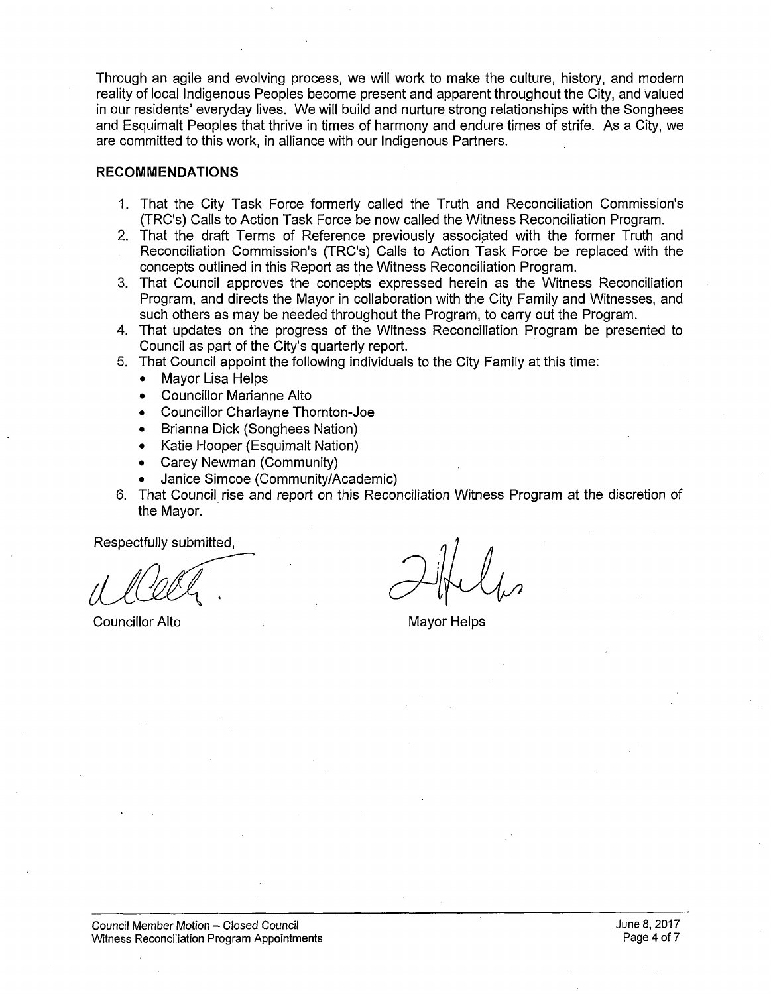Through an agile and evolving process, we will work to make the culture, history, and modern reality of local Indigenous Peoples become present and apparent throughout the City, and valued in our residents' everyday lives. We will build and nurture strong relationships with the Songhees and Esquimalt Peoples that thrive in times of harmony and endure times of strife. As a City, we are committed to this work, in alliance with our Indigenous Partners.

## **RECOMMENDATIONS**

- 1. That the City Task Force formerly called the Truth and Reconciliation Commission's (TRC's) Calls to Action Task Force be now called the Witness Reconciliation Program.
- 2. That the draft Terms of Reference previously associated with the former Truth and Reconciliation Commission's (TRC's) Calls to Action Task Force be replaced with the concepts outlined in this Report as the Witness Reconciliation Program.
- 3. That Council approves the concepts expressed herein as the Witness Reconciliation Program, and directs the Mayor in collaboration with the City Family and Witnesses, and such others as may be needed throughout the Program, to carry out the Program.
- 4. That updates on the progress of the Witness Reconciliation Program be presented to Council as part of the City's quarterly report.
- 5. That Council appoint the following individuals to the City Family at this time:
	- Mayor Lisa Helps
	- Councillor Marianne Alto
	- Councillor Charlayne Thornton-Joe
	- Brianna Dick (Songhees Nation)
	- Katie Hooper (Esquimalt Nation)
	- Carey Newman (Community)
	- Janice Simcoe (Community/Academic)
- 6. That Council rise and report on this Reconciliation Witness Program at the discretion of the Mayor.

Respectfully submitted,

**Councillor Alto** Mayor Helps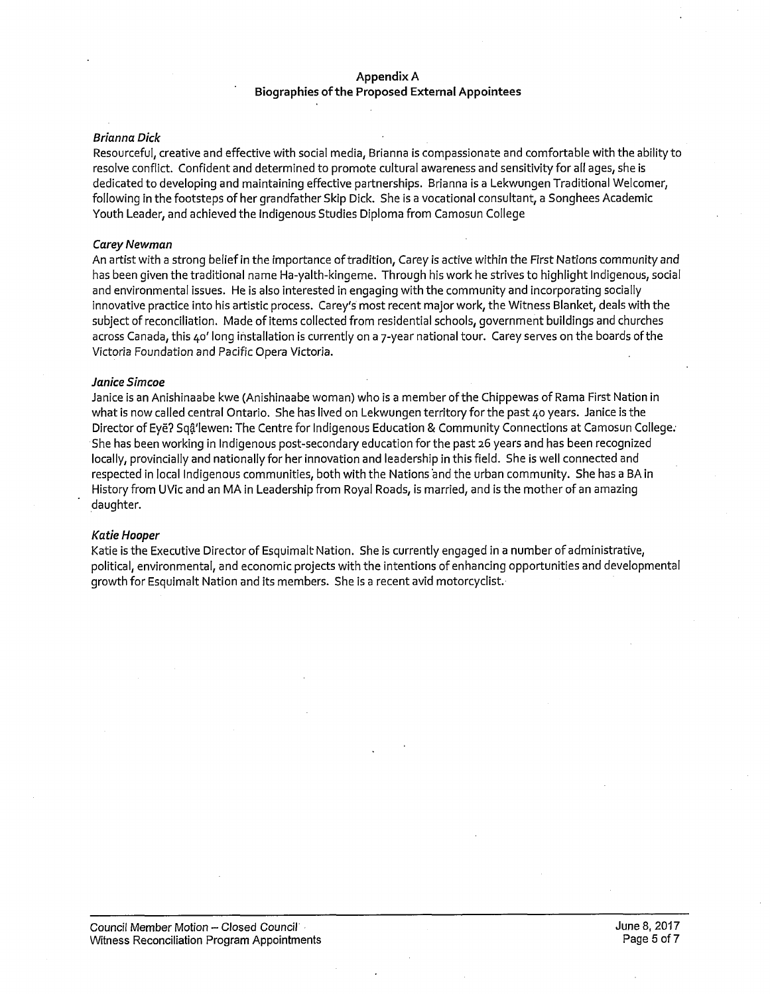## **Appendix A Biographies of the Proposed External Appointees**

#### *Brianna Dick*

Resourceful, creative and effective with social media, Brianna is compassionate and comfortable with the ability to resolve conflict. Confident and determined to promote cultural awareness and sensitivity for all ages, she is dedicated to developing and maintaining effective partnerships. Brianna is a Lekwungen Traditional Welcomer, following in the footsteps of her grandfather Skip Dick. She is a vocational consultant, a Songhees Academic Youth Leader, and achieved the Indigenous Studies Diploma from Camosun College

#### *Carey Newman*

An artist with a strong belief in the importance of tradition, Carey is active within the First Nations community and has been given the traditional name Ha-yalth-kingeme. Through his work he strives to highlight Indigenous, social and environmental issues. He is also interested in engaging with the community and incorporating socially innovative practice into his artistic process. Carey's most recent major work, the Witness Blanket, deals with the subject of reconciliation. Made of items collected from residential schools, government buildings and churches across Canada, this 40' long installation is currently on a 7-year national tour. Carey serves on the boards of the Victoria Foundation and Pacific Opera Victoria.

#### *Janice Simcoe*

Janice is an Anishinaabe kwe (Anishinaabe woman) who is a member of the Chippewas of Rama First Nation in what is now called central Ontario. She has lived on Lekwungen territory for the past 40 years. Janice is the Director of Eye? Sqa'lewen: The Centre for Indigenous Education & Community Connections at Camosun College; She has been working in Indigenous post-secondary education for the past 26 years and has been recognized locally, provincially and nationally for her innovation and leadership in this field. She is well connected and respected in local Indigenous communities, both with the Nations and the urban community. She has a BA in History from UVic and an MA in Leadership from Royal Roads, is married, and is the mother of an amazing daughter.

#### *Katie Hooper*

Katie is the Executive Director of Esquimalt Nation. She is currently engaged in a number of administrative, political, environmental, and economic projects with the intentions of enhancing opportunities and developmental growth for Esquimalt Nation and its members. She is a recent avid motorcyclist.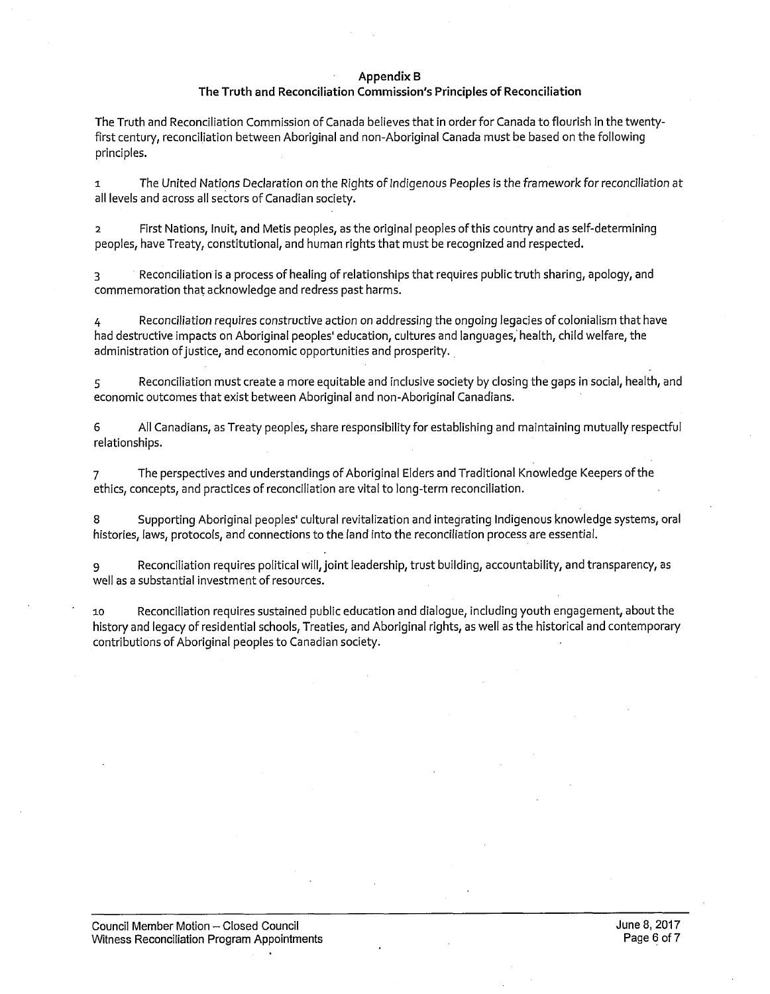#### **Appendix B**

#### **The Truth and Reconciliation Commission's Principles of Reconciliation**

The Truth and Reconciliation Commission of Canada believes that in order for Canada to flourish in the twentyfirst century, reconciliation between Aboriginal and non-Aboriginal Canada must be based on the following principles.

1 The United Nations Declaration on the Rights of Indigenous Peoples is the framework for reconciliation at all levels and across all sectors of Canadian society.

2 First Nations, Inuit, and Metis peoples, as the original peoples of this country and as self-determining peoples, have Treaty, constitutional, and human rights that must be recognized and respected.

3 Reconciliation is a process of healing of relationships that requires public truth sharing, apology, and commemoration that acknowledge and redress past harms.

4 Reconciliation requires constructive action on addressing the ongoing legacies of colonialism that have had destructive impacts on Aboriginal peoples' education, cultures and languages, health, child welfare, the administration of justice, and economic opportunities and prosperity.

5 Reconciliation must create a more equitable and inclusive society by closing the gaps in social, health, and economic outcomes that exist between Aboriginal and non-Aboriginal Canadians.

6 All Canadians, as Treaty peoples, share responsibility for establishing and maintaining mutually respectful relationships.

7 The perspectives and understandings of Aboriginal Elders and Traditional Knowledge Keepers of the ethics, concepts, and practices of reconciliation are vital to long-term reconciliation.

8 Supporting Aboriginal peoples' cultural revitalization and integrating Indigenous knowledge systems, oral histories, laws, protocols, and connections to the land into the reconciliation process are essential.

g Reconciliation requires political will, joint leadership, trust building, accountability, and transparency, as well as a substantial investment of resources.

10 Reconciliation requires sustained public education and dialogue, including youth engagement, about the history and legacy of residential schools, Treaties, and Aboriginal rights, as well as the historical and contemporary contributions of Aboriginal peoples to Canadian society.